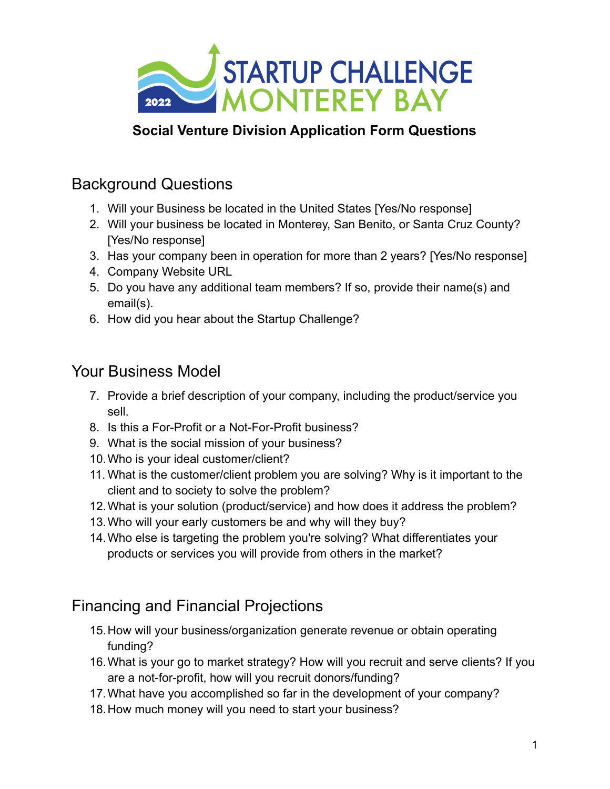

### **Social Venture Division Application Form Questions**

## Background Questions

- 1. Will your Business be located in the United States [Yes/No response]
- 2. Will your business be located in Monterey, San Benito, or Santa Cruz County? [Yes/No response]
- 3. Has your company been in operation for more than 2 years? [Yes/No response]
- 4. Company Website URL
- 5. Do you have any additional team members? If so, provide their name(s) and email(s).
- 6. How did you hear about the Startup Challenge?

#### Your Business Model

- 7. Provide a brief description of your company, including the product/service you sell.
- 8. Is this a For-Profit or a Not-For-Profit business?
- 9. What is the social mission of your business?
- 10.Who is your ideal customer/client?
- 11. What is the customer/client problem you are solving? Why is it important to the client and to society to solve the problem?
- 12.What is your solution (product/service) and how does it address the problem?
- 13.Who will your early customers be and why will they buy?
- 14.Who else is targeting the problem you're solving? What differentiates your products or services you will provide from others in the market?

# Financing and Financial Projections

- 15.How will your business/organization generate revenue or obtain operating funding?
- 16.What is your go to market strategy? How will you recruit and serve clients? If you are a not-for-profit, how will you recruit donors/funding?
- 17.What have you accomplished so far in the development of your company?
- 18.How much money will you need to start your business?